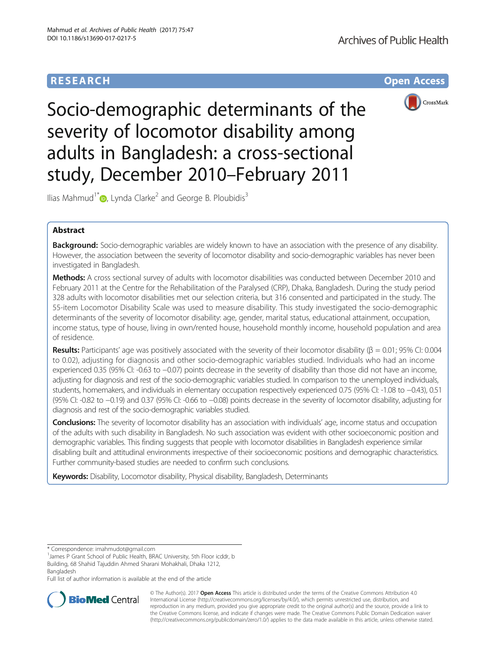# **RESEARCH CHE Open Access**



Socio-demographic determinants of the severity of locomotor disability among adults in Bangladesh: a cross-sectional study, December 2010–February 2011

Ilias Mahmud<sup>1\*</sup>  $\bullet$ , Lynda Clarke<sup>2</sup> and George B. Ploubidis<sup>3</sup>

# Abstract

Background: Socio-demographic variables are widely known to have an association with the presence of any disability. However, the association between the severity of locomotor disability and socio-demographic variables has never been investigated in Bangladesh.

Methods: A cross sectional survey of adults with locomotor disabilities was conducted between December 2010 and February 2011 at the Centre for the Rehabilitation of the Paralysed (CRP), Dhaka, Bangladesh. During the study period 328 adults with locomotor disabilities met our selection criteria, but 316 consented and participated in the study. The 55-item Locomotor Disability Scale was used to measure disability. This study investigated the socio-demographic determinants of the severity of locomotor disability: age, gender, marital status, educational attainment, occupation, income status, type of house, living in own/rented house, household monthly income, household population and area of residence.

**Results:** Participants' age was positively associated with the severity of their locomotor disability ( $\beta$  = 0.01; 95% CI: 0.004 to 0.02), adjusting for diagnosis and other socio-demographic variables studied. Individuals who had an income experienced 0.35 (95% CI: -0.63 to −0.07) points decrease in the severity of disability than those did not have an income, adjusting for diagnosis and rest of the socio-demographic variables studied. In comparison to the unemployed individuals, students, homemakers, and individuals in elementary occupation respectively experienced 0.75 (95% CI: -1.08 to −0.43), 0.51 (95% CI: -0.82 to −0.19) and 0.37 (95% CI: -0.66 to −0.08) points decrease in the severity of locomotor disability, adjusting for diagnosis and rest of the socio-demographic variables studied.

**Conclusions:** The severity of locomotor disability has an association with individuals' age, income status and occupation of the adults with such disability in Bangladesh. No such association was evident with other socioeconomic position and demographic variables. This finding suggests that people with locomotor disabilities in Bangladesh experience similar disabling built and attitudinal environments irrespective of their socioeconomic positions and demographic characteristics. Further community-based studies are needed to confirm such conclusions.

Keywords: Disability, Locomotor disability, Physical disability, Bangladesh, Determinants

Full list of author information is available at the end of the article



© The Author(s). 2017 **Open Access** This article is distributed under the terms of the Creative Commons Attribution 4.0 International License [\(http://creativecommons.org/licenses/by/4.0/](http://creativecommons.org/licenses/by/4.0/)), which permits unrestricted use, distribution, and reproduction in any medium, provided you give appropriate credit to the original author(s) and the source, provide a link to the Creative Commons license, and indicate if changes were made. The Creative Commons Public Domain Dedication waiver [\(http://creativecommons.org/publicdomain/zero/1.0/](http://creativecommons.org/publicdomain/zero/1.0/)) applies to the data made available in this article, unless otherwise stated.

<sup>\*</sup> Correspondence: [imahmudot@gmail.com](mailto:imahmudot@gmail.com) <sup>1</sup>

<sup>&</sup>lt;sup>1</sup> James P Grant School of Public Health, BRAC University, 5th Floor icddr, b Building, 68 Shahid Tajuddin Ahmed Sharani Mohakhali, Dhaka 1212, Bangladesh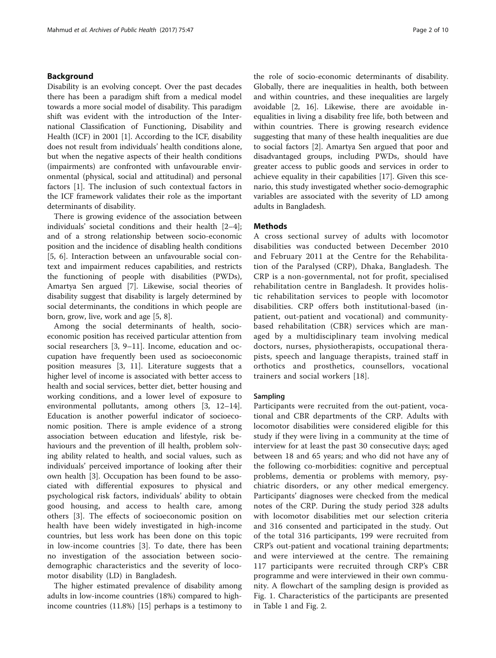### Background

Disability is an evolving concept. Over the past decades there has been a paradigm shift from a medical model towards a more social model of disability. This paradigm shift was evident with the introduction of the International Classification of Functioning, Disability and Health (ICF) in 2001 [[1\]](#page-8-0). According to the ICF, disability does not result from individuals' health conditions alone, but when the negative aspects of their health conditions (impairments) are confronted with unfavourable environmental (physical, social and attitudinal) and personal factors [[1\]](#page-8-0). The inclusion of such contextual factors in the ICF framework validates their role as the important determinants of disability.

There is growing evidence of the association between individuals' societal conditions and their health [\[2](#page-8-0)–[4](#page-8-0)]; and of a strong relationship between socio-economic position and the incidence of disabling health conditions [[5, 6](#page-8-0)]. Interaction between an unfavourable social context and impairment reduces capabilities, and restricts the functioning of people with disabilities (PWDs), Amartya Sen argued [[7\]](#page-8-0). Likewise, social theories of disability suggest that disability is largely determined by social determinants, the conditions in which people are born, grow, live, work and age [[5, 8\]](#page-8-0).

Among the social determinants of health, socioeconomic position has received particular attention from social researchers [[3, 9](#page-8-0)–[11](#page-8-0)]. Income, education and occupation have frequently been used as socioeconomic position measures [\[3](#page-8-0), [11](#page-8-0)]. Literature suggests that a higher level of income is associated with better access to health and social services, better diet, better housing and working conditions, and a lower level of exposure to environmental pollutants, among others [\[3](#page-8-0), [12](#page-8-0)–[14](#page-8-0)]. Education is another powerful indicator of socioeconomic position. There is ample evidence of a strong association between education and lifestyle, risk behaviours and the prevention of ill health, problem solving ability related to health, and social values, such as individuals' perceived importance of looking after their own health [\[3](#page-8-0)]. Occupation has been found to be associated with differential exposures to physical and psychological risk factors, individuals' ability to obtain good housing, and access to health care, among others [\[3](#page-8-0)]. The effects of socioeconomic position on health have been widely investigated in high-income countries, but less work has been done on this topic in low-income countries [[3\]](#page-8-0). To date, there has been no investigation of the association between sociodemographic characteristics and the severity of locomotor disability (LD) in Bangladesh.

The higher estimated prevalence of disability among adults in low-income countries (18%) compared to highincome countries (11.8%) [[15](#page-8-0)] perhaps is a testimony to

the role of socio-economic determinants of disability. Globally, there are inequalities in health, both between and within countries, and these inequalities are largely avoidable [\[2](#page-8-0), [16](#page-8-0)]. Likewise, there are avoidable inequalities in living a disability free life, both between and within countries. There is growing research evidence suggesting that many of these health inequalities are due to social factors [[2\]](#page-8-0). Amartya Sen argued that poor and disadvantaged groups, including PWDs, should have greater access to public goods and services in order to achieve equality in their capabilities [[17](#page-8-0)]. Given this scenario, this study investigated whether socio-demographic variables are associated with the severity of LD among adults in Bangladesh.

### Methods

A cross sectional survey of adults with locomotor disabilities was conducted between December 2010 and February 2011 at the Centre for the Rehabilitation of the Paralysed (CRP), Dhaka, Bangladesh. The CRP is a non-governmental, not for profit, specialised rehabilitation centre in Bangladesh. It provides holistic rehabilitation services to people with locomotor disabilities. CRP offers both institutional-based (inpatient, out-patient and vocational) and communitybased rehabilitation (CBR) services which are managed by a multidisciplinary team involving medical doctors, nurses, physiotherapists, occupational therapists, speech and language therapists, trained staff in orthotics and prosthetics, counsellors, vocational trainers and social workers [[18\]](#page-8-0).

#### Sampling

Participants were recruited from the out-patient, vocational and CBR departments of the CRP. Adults with locomotor disabilities were considered eligible for this study if they were living in a community at the time of interview for at least the past 30 consecutive days; aged between 18 and 65 years; and who did not have any of the following co-morbidities: cognitive and perceptual problems, dementia or problems with memory, psychiatric disorders, or any other medical emergency. Participants' diagnoses were checked from the medical notes of the CRP. During the study period 328 adults with locomotor disabilities met our selection criteria and 316 consented and participated in the study. Out of the total 316 participants, 199 were recruited from CRP's out-patient and vocational training departments; and were interviewed at the centre. The remaining 117 participants were recruited through CRP's CBR programme and were interviewed in their own community. A flowchart of the sampling design is provided as Fig. [1](#page-2-0). Characteristics of the participants are presented in Table [1](#page-3-0) and Fig. [2](#page-4-0).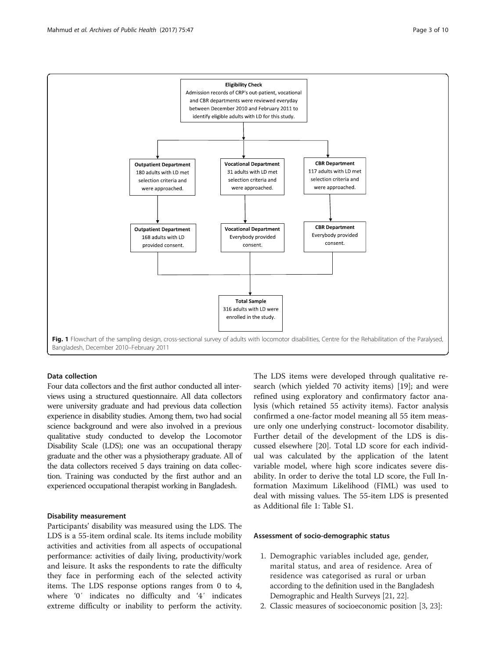<span id="page-2-0"></span>

### Data collection

Four data collectors and the first author conducted all interviews using a structured questionnaire. All data collectors were university graduate and had previous data collection experience in disability studies. Among them, two had social science background and were also involved in a previous qualitative study conducted to develop the Locomotor Disability Scale (LDS); one was an occupational therapy graduate and the other was a physiotherapy graduate. All of the data collectors received 5 days training on data collection. Training was conducted by the first author and an experienced occupational therapist working in Bangladesh.

### Disability measurement

Participants' disability was measured using the LDS. The LDS is a 55-item ordinal scale. Its items include mobility activities and activities from all aspects of occupational performance: activities of daily living, productivity/work and leisure. It asks the respondents to rate the difficulty they face in performing each of the selected activity items. The LDS response options ranges from 0 to 4, where '0′ indicates no difficulty and '4′ indicates extreme difficulty or inability to perform the activity. The LDS items were developed through qualitative research (which yielded 70 activity items) [\[19](#page-8-0)]; and were refined using exploratory and confirmatory factor analysis (which retained 55 activity items). Factor analysis confirmed a one-factor model meaning all 55 item measure only one underlying construct- locomotor disability. Further detail of the development of the LDS is discussed elsewhere [\[20](#page-8-0)]. Total LD score for each individual was calculated by the application of the latent variable model, where high score indicates severe disability. In order to derive the total LD score, the Full Information Maximum Likelihood (FIML) was used to deal with missing values. The 55-item LDS is presented as Additional file [1](#page-7-0): Table S1.

#### Assessment of socio-demographic status

- 1. Demographic variables included age, gender, marital status, and area of residence. Area of residence was categorised as rural or urban according to the definition used in the Bangladesh Demographic and Health Surveys [\[21,](#page-8-0) [22\]](#page-8-0).
- 2. Classic measures of socioeconomic position [[3](#page-8-0), [23](#page-8-0)]: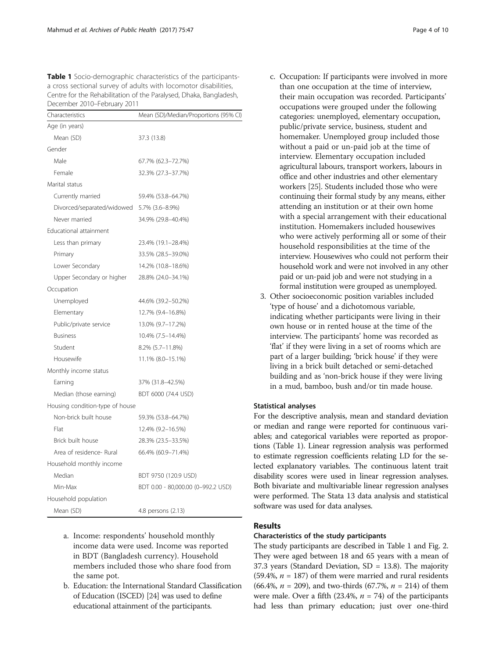<span id="page-3-0"></span>Table 1 Socio-demographic characteristics of the participantsa cross sectional survey of adults with locomotor disabilities, Centre for the Rehabilitation of the Paralysed, Dhaka, Bangladesh, December 2010–February 2011

| Characteristics                 | Mean (SD)/Median/Proportions (95% CI) |  |  |
|---------------------------------|---------------------------------------|--|--|
| Age (in years)                  |                                       |  |  |
| Mean (SD)                       | 37.3 (13.8)                           |  |  |
| Gender                          |                                       |  |  |
| Male                            | 67.7% (62.3–72.7%)                    |  |  |
| Female                          | 32.3% (27.3-37.7%)                    |  |  |
| Marital status                  |                                       |  |  |
| Currently married               | 59.4% (53.8-64.7%)                    |  |  |
| Divorced/separated/widowed      | 5.7% (3.6-8.9%)                       |  |  |
| Never married                   | 34.9% (29.8-40.4%)                    |  |  |
| Educational attainment          |                                       |  |  |
| Less than primary               | 23.4% (19.1-28.4%)                    |  |  |
| Primary                         | 33.5% (28.5-39.0%)                    |  |  |
| Lower Secondary                 | 14.2% (10.8-18.6%)                    |  |  |
| Upper Secondary or higher       | 28.8% (24.0-34.1%)                    |  |  |
| Occupation                      |                                       |  |  |
| Unemployed                      | 44.6% (39.2–50.2%)                    |  |  |
| Elementary                      | 12.7% (9.4–16.8%)                     |  |  |
| Public/private service          | 13.0% (9.7-17.2%)                     |  |  |
| <b>Business</b>                 | 10.4% (7.5-14.4%)                     |  |  |
| Student                         | 8.2% (5.7-11.8%)                      |  |  |
| Housewife                       | 11.1% (8.0-15.1%)                     |  |  |
| Monthly income status           |                                       |  |  |
| Earning                         | 37% (31.8–42.5%)                      |  |  |
| Median (those earning)          | BDT 6000 (74.4 USD)                   |  |  |
| Housing condition-type of house |                                       |  |  |
| Non-brick built house           | 59.3% (53.8-64.7%)                    |  |  |
| Flat                            | 12.4% (9.2–16.5%)                     |  |  |
| Brick built house               | 28.3% (23.5–33.5%)                    |  |  |
| Area of residence- Rural        | 66.4% (60.9-71.4%)                    |  |  |
| Household monthly income        |                                       |  |  |
| Median                          | BDT 9750 (120.9 USD)                  |  |  |
| Min-Max                         | BDT 0.00 - 80,000.00 (0-992.2 USD)    |  |  |
| Household population            |                                       |  |  |
| Mean (SD)                       | 4.8 persons (2.13)                    |  |  |

- a. Income: respondents' household monthly income data were used. Income was reported in BDT (Bangladesh currency). Household members included those who share food from the same pot.
- b. Education: the International Standard Classification of Education (ISCED) [\[24](#page-8-0)] was used to define educational attainment of the participants.
- c. Occupation: If participants were involved in more than one occupation at the time of interview, their main occupation was recorded. Participants' occupations were grouped under the following categories: unemployed, elementary occupation, public/private service, business, student and homemaker. Unemployed group included those without a paid or un-paid job at the time of interview. Elementary occupation included agricultural labours, transport workers, labours in office and other industries and other elementary workers [\[25](#page-8-0)]. Students included those who were continuing their formal study by any means, either attending an institution or at their own home with a special arrangement with their educational institution. Homemakers included housewives who were actively performing all or some of their household responsibilities at the time of the interview. Housewives who could not perform their household work and were not involved in any other paid or un-paid job and were not studying in a formal institution were grouped as unemployed.
- 3. Other socioeconomic position variables included 'type of house' and a dichotomous variable, indicating whether participants were living in their own house or in rented house at the time of the interview. The participants' home was recorded as 'flat' if they were living in a set of rooms which are part of a larger building; 'brick house' if they were living in a brick built detached or semi-detached building and as 'non-brick house if they were living in a mud, bamboo, bush and/or tin made house.

### Statistical analyses

For the descriptive analysis, mean and standard deviation or median and range were reported for continuous variables; and categorical variables were reported as proportions (Table 1). Linear regression analysis was performed to estimate regression coefficients relating LD for the selected explanatory variables. The continuous latent trait disability scores were used in linear regression analyses. Both bivariate and multivariable linear regression analyses were performed. The Stata 13 data analysis and statistical software was used for data analyses.

### Results

### Characteristics of the study participants

The study participants are described in Table 1 and Fig. [2](#page-4-0). They were aged between 18 and 65 years with a mean of 37.3 years (Standard Deviation, SD = 13.8). The majority (59.4%,  $n = 187$ ) of them were married and rural residents (66.4%,  $n = 209$ ), and two-thirds (67.7%,  $n = 214$ ) of them were male. Over a fifth (23.4%,  $n = 74$ ) of the participants had less than primary education; just over one-third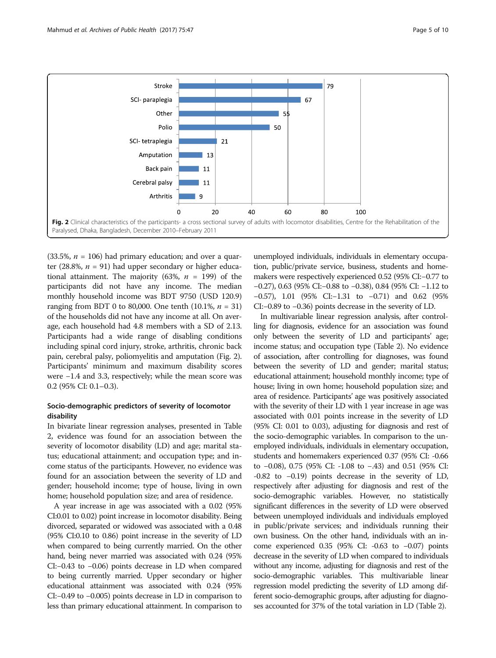<span id="page-4-0"></span>

(33.5%,  $n = 106$ ) had primary education; and over a quarter (28.8%,  $n = 91$ ) had upper secondary or higher educational attainment. The majority (63%,  $n = 199$ ) of the participants did not have any income. The median monthly household income was BDT 9750 (USD 120.9) ranging from BDT 0 to 80,000. One tenth  $(10.1\%, n = 31)$ of the households did not have any income at all. On average, each household had 4.8 members with a SD of 2.13. Participants had a wide range of disabling conditions including spinal cord injury, stroke, arthritis, chronic back pain, cerebral palsy, poliomyelitis and amputation (Fig. 2). Participants' minimum and maximum disability scores were −1.4 and 3.3, respectively; while the mean score was 0.2 (95% CI: 0.1–0.3).

### Socio-demographic predictors of severity of locomotor disability

In bivariate linear regression analyses, presented in Table [2,](#page-5-0) evidence was found for an association between the severity of locomotor disability (LD) and age; marital status; educational attainment; and occupation type; and income status of the participants. However, no evidence was found for an association between the severity of LD and gender; household income; type of house, living in own home; household population size; and area of residence.

A year increase in age was associated with a 0.02 (95% CI:0.01 to 0.02) point increase in locomotor disability. Being divorced, separated or widowed was associated with a 0.48 (95% CI:0.10 to 0.86) point increase in the severity of LD when compared to being currently married. On the other hand, being never married was associated with 0.24 (95% CI:−0.43 to −0.06) points decrease in LD when compared to being currently married. Upper secondary or higher educational attainment was associated with 0.24 (95% CI:−0.49 to −0.005) points decrease in LD in comparison to less than primary educational attainment. In comparison to

unemployed individuals, individuals in elementary occupation, public/private service, business, students and homemakers were respectively experienced 0.52 (95% CI:−0.77 to −0.27), 0.63 (95% CI:−0.88 to −0.38), 0.84 (95% CI: −1.12 to −0.57), 1.01 (95% CI:−1.31 to −0.71) and 0.62 (95% CI:−0.89 to −0.36) points decrease in the severity of LD.

In multivariable linear regression analysis, after controlling for diagnosis, evidence for an association was found only between the severity of LD and participants' age; income status; and occupation type (Table [2\)](#page-5-0). No evidence of association, after controlling for diagnoses, was found between the severity of LD and gender; marital status; educational attainment; household monthly income; type of house; living in own home; household population size; and area of residence. Participants' age was positively associated with the severity of their LD with 1 year increase in age was associated with 0.01 points increase in the severity of LD (95% CI: 0.01 to 0.03), adjusting for diagnosis and rest of the socio-demographic variables. In comparison to the unemployed individuals, individuals in elementary occupation, students and homemakers experienced 0.37 (95% CI: -0.66 to −0.08), 0.75 (95% CI: -1.08 to −.43) and 0.51 (95% CI: -0.82 to −0.19) points decrease in the severity of LD, respectively after adjusting for diagnosis and rest of the socio-demographic variables. However, no statistically significant differences in the severity of LD were observed between unemployed individuals and individuals employed in public/private services; and individuals running their own business. On the other hand, individuals with an income experienced 0.35 (95% CI: -0.63 to −0.07) points decrease in the severity of LD when compared to individuals without any income, adjusting for diagnosis and rest of the socio-demographic variables. This multivariable linear regression model predicting the severity of LD among different socio-demographic groups, after adjusting for diagnoses accounted for 37% of the total variation in LD (Table [2\)](#page-5-0).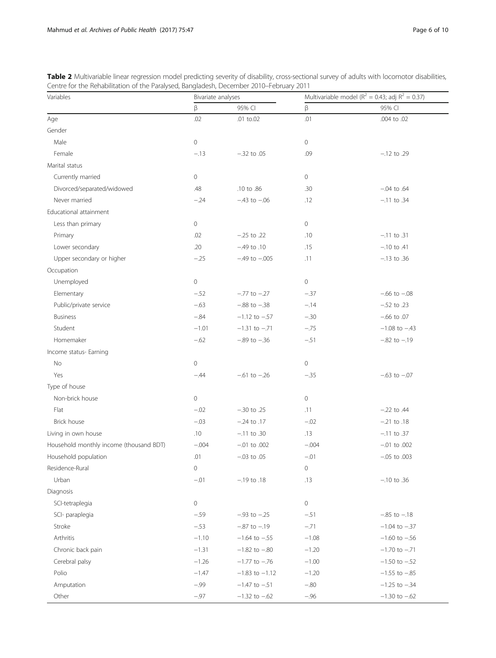<span id="page-5-0"></span>Table 2 Multivariable linear regression model predicting severity of disability, cross-sectional survey of adults with locomotor disabilities, Centre for the Rehabilitation of the Paralysed, Bangladesh, December 2010–February 2011  $\overline{a}$ 

| Variables                               |                     | Bivariate analyses |                     | Multivariable model ( $R^2$ = 0.43; adj $R^2$ = 0.37) |  |
|-----------------------------------------|---------------------|--------------------|---------------------|-------------------------------------------------------|--|
|                                         | β                   | 95% CI             | β                   | 95% CI                                                |  |
| Age                                     | .02                 | .01 to.02          | .01                 | .004 to .02                                           |  |
| Gender                                  |                     |                    |                     |                                                       |  |
| Male                                    | $\circ$             |                    | 0                   |                                                       |  |
| Female                                  | $-.13$              | $-.32$ to $.05$    | .09                 | $-.12$ to $.29$                                       |  |
| Marital status                          |                     |                    |                     |                                                       |  |
| Currently married                       | $\circ$             |                    | 0                   |                                                       |  |
| Divorced/separated/widowed              | .48                 | .10 to .86         | .30                 | $-.04$ to $.64$                                       |  |
| Never married                           | $-24$               | $-.43$ to $-.06$   | .12                 | $-.11$ to $.34$                                       |  |
| Educational attainment                  |                     |                    |                     |                                                       |  |
| Less than primary                       | $\circ$             |                    | $\mathsf{O}\xspace$ |                                                       |  |
| Primary                                 | .02                 | $-.25$ to $.22$    | .10                 | $-.11$ to $.31$                                       |  |
| Lower secondary                         | .20                 | $-.49$ to $.10$    | .15                 | $-.10$ to $.41$                                       |  |
| Upper secondary or higher               | $-.25$              | $-.49$ to $-.005$  | .11                 | $-.13$ to $.36$                                       |  |
| Occupation                              |                     |                    |                     |                                                       |  |
| Unemployed                              | $\circ$             |                    | 0                   |                                                       |  |
| Elementary                              | $-.52$              | $-.77$ to $-.27$   | $-37$               | $-.66$ to $-.08$                                      |  |
| Public/private service                  | $-63$               | $-.88$ to $-.38$   | $-.14$              | $-.52$ to $.23$                                       |  |
| <b>Business</b>                         | $-.84$              | $-1.12$ to $-.57$  | $-.30$              | $-.66$ to $.07$                                       |  |
| Student                                 | $-1.01$             | $-1.31$ to $-.71$  | $-.75$              | $-1.08$ to $-.43$                                     |  |
| Homemaker                               | $-.62$              | $-.89$ to $-.36$   | $-.51$              | $-.82$ to $-.19$                                      |  |
| Income status- Earning                  |                     |                    |                     |                                                       |  |
| No                                      | $\circ$             |                    | 0                   |                                                       |  |
| Yes                                     | $-.44$              | $-.61$ to $-.26$   | $-.35$              | $-.63$ to $-.07$                                      |  |
| Type of house                           |                     |                    |                     |                                                       |  |
| Non-brick house                         | $\mathsf{O}\xspace$ |                    | $\mathsf{O}\xspace$ |                                                       |  |
| Flat                                    | $-.02$              | $-.30$ to $.25$    | .11                 | $-.22$ to $.44$                                       |  |
| <b>Brick house</b>                      | $-.03$              | $-.24$ to $.17$    | $-.02$              | $-.21$ to $.18$                                       |  |
| Living in own house                     | .10                 | $-.11$ to $.30$    | .13                 | $-.11$ to $.37$                                       |  |
| Household monthly income (thousand BDT) | $-.004$             | $-.01$ to $.002$   | $-.004$             | $-.01$ to $.002$                                      |  |
| Household population                    | .01                 | $-.03$ to $.05$    | $-.01$              | $-.05$ to $.003$                                      |  |
| Residence-Rural                         | $\mathbb O$         |                    | $\mathsf{O}\xspace$ |                                                       |  |
| Urban                                   | $-.01$              | $-.19$ to $.18$    | .13                 | $-.10$ to $.36$                                       |  |
| Diagnosis                               |                     |                    |                     |                                                       |  |
| SCI-tetraplegia                         | $\circ$             |                    | $\mathsf{O}\xspace$ |                                                       |  |
| SCI- paraplegia                         | $-.59$              | $-.93$ to $-.25$   | $-.51$              | $-.85$ to $-.18$                                      |  |
| Stroke                                  | $-.53$              | $-.87$ to $-.19$   | $-.71$              | $-1.04$ to $-.37$                                     |  |
| Arthritis                               | $-1.10$             | $-1.64$ to $-.55$  | $-1.08$             | $-1.60$ to $-.56$                                     |  |
| Chronic back pain                       | $-1.31$             | $-1.82$ to $-.80$  | $-1.20$             | $-1.70$ to $-.71$                                     |  |
| Cerebral palsy                          | $-1.26$             | $-1.77$ to $-.76$  | $-1.00$             | $-1.50$ to $-.52$                                     |  |
| Polio                                   | $-1.47$             | $-1.83$ to $-1.12$ | $-1.20$             | $-1.55$ to $-.85$                                     |  |
| Amputation                              | $-.99$              | $-1.47$ to $-.51$  | $-.80$              | $-1.25$ to $-.34$                                     |  |
| Other                                   | $-.97$              | $-1.32$ to $-.62$  | $-.96$              | $-1.30$ to $-.62$                                     |  |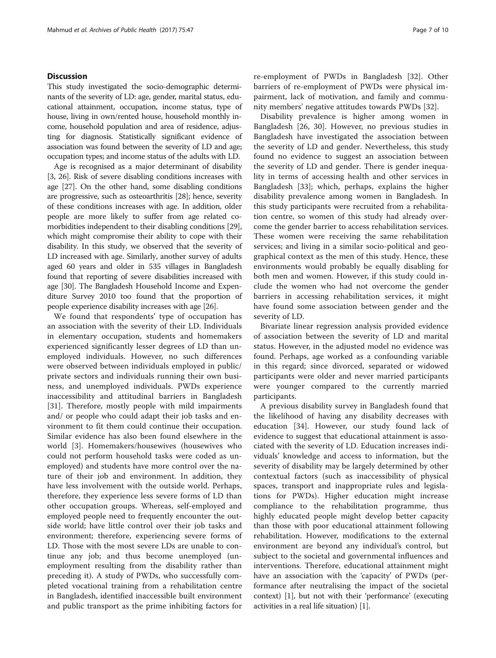### **Discussion**

This study investigated the socio-demographic determinants of the severity of LD: age, gender, marital status, educational attainment, occupation, income status, type of house, living in own/rented house, household monthly income, household population and area of residence, adjusting for diagnosis. Statistically significant evidence of association was found between the severity of LD and age; occupation types; and income status of the adults with LD.

Age is recognised as a major determinant of disability [[3, 26\]](#page-8-0). Risk of severe disabling conditions increases with age [\[27](#page-8-0)]. On the other hand, some disabling conditions are progressive, such as osteoarthritis [[28](#page-8-0)]; hence, severity of these conditions increases with age. In addition, older people are more likely to suffer from age related comorbidities independent to their disabling conditions [[29](#page-8-0)], which might compromise their ability to cope with their disability. In this study, we observed that the severity of LD increased with age. Similarly, another survey of adults aged 60 years and older in 535 villages in Bangladesh found that reporting of severe disabilities increased with age [[30](#page-8-0)]. The Bangladesh Household Income and Expenditure Survey 2010 too found that the proportion of people experience disability increases with age [\[26\]](#page-8-0).

We found that respondents' type of occupation has an association with the severity of their LD. Individuals in elementary occupation, students and homemakers experienced significantly lesser degrees of LD than unemployed individuals. However, no such differences were observed between individuals employed in public/ private sectors and individuals running their own business, and unemployed individuals. PWDs experience inaccessibility and attitudinal barriers in Bangladesh [[31\]](#page-8-0). Therefore, mostly people with mild impairments and/ or people who could adapt their job tasks and environment to fit them could continue their occupation. Similar evidence has also been found elsewhere in the world [\[3](#page-8-0)]. Homemakers/housewives (housewives who could not perform household tasks were coded as unemployed) and students have more control over the nature of their job and environment. In addition, they have less involvement with the outside world. Perhaps, therefore, they experience less severe forms of LD than other occupation groups. Whereas, self-employed and employed people need to frequently encounter the outside world; have little control over their job tasks and environment; therefore, experiencing severe forms of LD. Those with the most severe LDs are unable to continue any job; and thus become unemployed (unemployment resulting from the disability rather than preceding it). A study of PWDs, who successfully completed vocational training from a rehabilitation centre in Bangladesh, identified inaccessible built environment and public transport as the prime inhibiting factors for re-employment of PWDs in Bangladesh [\[32](#page-8-0)]. Other barriers of re-employment of PWDs were physical impairment, lack of motivation, and family and community members' negative attitudes towards PWDs [[32\]](#page-8-0).

Disability prevalence is higher among women in Bangladesh [[26, 30\]](#page-8-0). However, no previous studies in Bangladesh have investigated the association between the severity of LD and gender. Nevertheless, this study found no evidence to suggest an association between the severity of LD and gender. There is gender inequality in terms of accessing health and other services in Bangladesh [\[33](#page-8-0)]; which, perhaps, explains the higher disability prevalence among women in Bangladesh. In this study participants were recruited from a rehabilitation centre, so women of this study had already overcome the gender barrier to access rehabilitation services. These women were receiving the same rehabilitation services; and living in a similar socio-political and geographical context as the men of this study. Hence, these environments would probably be equally disabling for both men and women. However, if this study could include the women who had not overcome the gender barriers in accessing rehabilitation services, it might have found some association between gender and the severity of LD.

Bivariate linear regression analysis provided evidence of association between the severity of LD and marital status. However, in the adjusted model no evidence was found. Perhaps, age worked as a confounding variable in this regard; since divorced, separated or widowed participants were older and never married participants were younger compared to the currently married participants.

A previous disability survey in Bangladesh found that the likelihood of having any disability decreases with education [[34\]](#page-8-0). However, our study found lack of evidence to suggest that educational attainment is associated with the severity of LD. Education increases individuals' knowledge and access to information, but the severity of disability may be largely determined by other contextual factors (such as inaccessibility of physical spaces, transport and inappropriate rules and legislations for PWDs). Higher education might increase compliance to the rehabilitation programme, thus highly educated people might develop better capacity than those with poor educational attainment following rehabilitation. However, modifications to the external environment are beyond any individual's control, but subject to the societal and governmental influences and interventions. Therefore, educational attainment might have an association with the 'capacity' of PWDs (performance after neutralising the impact of the societal context) [[1\]](#page-8-0), but not with their 'performance' (executing activities in a real life situation) [[1\]](#page-8-0).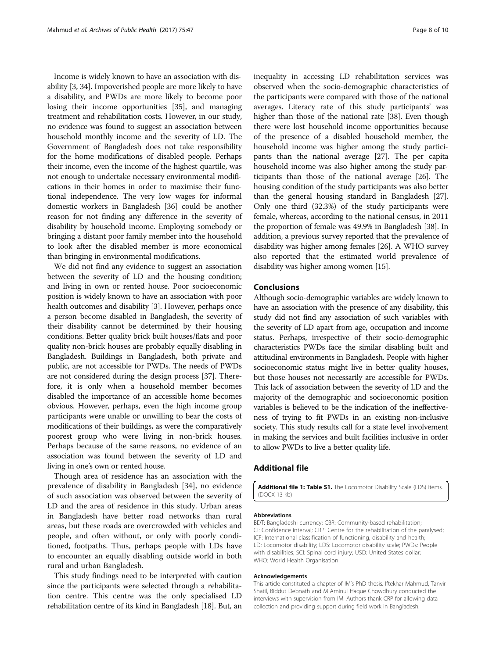<span id="page-7-0"></span>Income is widely known to have an association with disability [[3](#page-8-0), [34\]](#page-8-0). Impoverished people are more likely to have a disability, and PWDs are more likely to become poor losing their income opportunities [[35](#page-9-0)], and managing treatment and rehabilitation costs. However, in our study, no evidence was found to suggest an association between household monthly income and the severity of LD. The Government of Bangladesh does not take responsibility for the home modifications of disabled people. Perhaps their income, even the income of the highest quartile, was not enough to undertake necessary environmental modifications in their homes in order to maximise their functional independence. The very low wages for informal domestic workers in Bangladesh [[36](#page-9-0)] could be another reason for not finding any difference in the severity of disability by household income. Employing somebody or bringing a distant poor family member into the household to look after the disabled member is more economical than bringing in environmental modifications.

We did not find any evidence to suggest an association between the severity of LD and the housing condition; and living in own or rented house. Poor socioeconomic position is widely known to have an association with poor health outcomes and disability [\[3](#page-8-0)]. However, perhaps once a person become disabled in Bangladesh, the severity of their disability cannot be determined by their housing conditions. Better quality brick built houses/flats and poor quality non-brick houses are probably equally disabling in Bangladesh. Buildings in Bangladesh, both private and public, are not accessible for PWDs. The needs of PWDs are not considered during the design process [\[37\]](#page-9-0). Therefore, it is only when a household member becomes disabled the importance of an accessible home becomes obvious. However, perhaps, even the high income group participants were unable or unwilling to bear the costs of modifications of their buildings, as were the comparatively poorest group who were living in non-brick houses. Perhaps because of the same reasons, no evidence of an association was found between the severity of LD and living in one's own or rented house.

Though area of residence has an association with the prevalence of disability in Bangladesh [[34](#page-8-0)], no evidence of such association was observed between the severity of LD and the area of residence in this study. Urban areas in Bangladesh have better road networks than rural areas, but these roads are overcrowded with vehicles and people, and often without, or only with poorly conditioned, footpaths. Thus, perhaps people with LDs have to encounter an equally disabling outside world in both rural and urban Bangladesh.

This study findings need to be interpreted with caution since the participants were selected through a rehabilitation centre. This centre was the only specialised LD rehabilitation centre of its kind in Bangladesh [\[18](#page-8-0)]. But, an inequality in accessing LD rehabilitation services was observed when the socio-demographic characteristics of the participants were compared with those of the national averages. Literacy rate of this study participants' was higher than those of the national rate [\[38\]](#page-9-0). Even though there were lost household income opportunities because of the presence of a disabled household member, the household income was higher among the study participants than the national average [[27](#page-8-0)]. The per capita household income was also higher among the study participants than those of the national average [\[26\]](#page-8-0). The housing condition of the study participants was also better than the general housing standard in Bangladesh [[27](#page-8-0)]. Only one third (32.3%) of the study participants were female, whereas, according to the national census, in 2011 the proportion of female was 49.9% in Bangladesh [\[38\]](#page-9-0). In addition, a previous survey reported that the prevalence of disability was higher among females [[26](#page-8-0)]. A WHO survey also reported that the estimated world prevalence of disability was higher among women [[15](#page-8-0)].

### Conclusions

Although socio-demographic variables are widely known to have an association with the presence of any disability, this study did not find any association of such variables with the severity of LD apart from age, occupation and income status. Perhaps, irrespective of their socio-demographic characteristics PWDs face the similar disabling built and attitudinal environments in Bangladesh. People with higher socioeconomic status might live in better quality houses, but those houses not necessarily are accessible for PWDs. This lack of association between the severity of LD and the majority of the demographic and socioeconomic position variables is believed to be the indication of the ineffectiveness of trying to fit PWDs in an existing non-inclusive society. This study results call for a state level involvement in making the services and built facilities inclusive in order to allow PWDs to live a better quality life.

### Additional file

[Additional file 1: Table S1.](dx.doi.org/10.1186/s13690-017-0217-5) The Locomotor Disability Scale (LDS) items. (DOCX 13 kb)

#### Abbreviations

BDT: Bangladeshi currency; CBR: Community-based rehabilitation; CI: Confidence interval; CRP: Centre for the rehabilitation of the paralysed; ICF: International classification of functioning, disability and health; LD: Locomotor disability; LDS: Locomotor disability scale; PWDs: People with disabilities; SCI: Spinal cord injury; USD: United States dollar; WHO: World Health Organisation

#### Acknowledgements

This article constituted a chapter of IM's PhD thesis. Iftekhar Mahmud, Tanvir Shatil, Biddut Debnath and M Aminul Haque Chowdhury conducted the interviews with supervision from IM. Authors thank CRP for allowing data collection and providing support during field work in Bangladesh.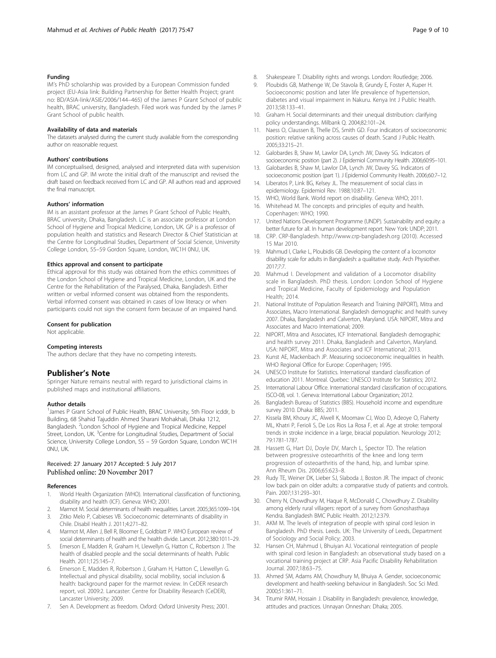### <span id="page-8-0"></span>Funding

IM's PhD scholarship was provided by a European Commission funded project (EU-Asia link: Building Partnership for Better Health Project; grant no: BD/ASIA-link/ASIE/2006/144–465) of the James P Grant School of public health, BRAC university, Bangladesh. Filed work was funded by the James P Grant School of public health.

#### Availability of data and materials

The datasets analysed during the current study available from the corresponding author on reasonable request.

#### Authors' contributions

IM conceptualised, designed, analysed and interpreted data with supervision from LC and GP. IM wrote the initial draft of the manuscript and revised the draft based on feedback received from LC and GP. All authors read and approved the final manuscript.

### Authors' information

IM is an assistant professor at the James P Grant School of Public Health, BRAC university, Dhaka, Bangladesh. LC is an associate professor at London School of Hygiene and Tropical Medicine, London, UK. GP is a professor of population health and statistics and Research Director & Chief Statistician at the Centre for Longitudinal Studies, Department of Social Science, University College London, 55–59 Gordon Square, London, WC1H 0NU, UK.

#### Ethics approval and consent to participate

Ethical approval for this study was obtained from the ethics committees of the London School of Hygiene and Tropical Medicine, London, UK and the Centre for the Rehabilitation of the Paralysed, Dhaka, Bangladesh. Either written or verbal informed consent was obtained from the respondents. Verbal informed consent was obtained in cases of low literacy or when participants could not sign the consent form because of an impaired hand.

#### Consent for publication

Not applicable.

#### Competing interests

The authors declare that they have no competing interests.

### Publisher's Note

Springer Nature remains neutral with regard to jurisdictional claims in published maps and institutional affiliations.

#### Author details

<sup>1</sup> James P Grant School of Public Health, BRAC University, 5th Floor icddr, b Building, 68 Shahid Tajuddin Ahmed Sharani Mohakhali, Dhaka 1212, Bangladesh. <sup>2</sup> London School of Hygiene and Tropical Medicine, Keppel Street, London, UK. <sup>3</sup>Centre for Longitudinal Studies, Department of Social Science, University College London, 55 – 59 Gordon Square, London WC1H 0NU, UK.

### Received: 27 January 2017 Accepted: 5 July 2017 Published online: 20 November 2017

#### References

- 1. World Health Organization (WHO). International classification of functioning, disability and health (ICF). Geneva: WHO; 2001.
- 2. Marmot M. Social determinants of health inequalities. Lancet. 2005;365:1099–104.
- 3. Zitko Melo P, Cabieses VB. Socioeconomic determinants of disability in Chile. Disabil Health J. 2011;4:271–82.
- 4. Marmot M, Allen J, Bell R, Bloomer E, Goldblatt P. WHO European review of social determinants of health and the health divide. Lancet. 2012;380:1011–29.
- 5. Emerson E, Madden R, Graham H, Llewellyn G, Hatton C, Robertson J. The health of disabled people and the social determinants of health. Public Health. 2011;125:145–7.
- 6. Emerson E, Madden R, Robertson J, Graham H, Hatton C, Llewellyn G. Intellectual and physical disability, social mobility, social inclusion & health: background paper for the marmot review. In CeDER research report, vol. 2009:2. Lancaster: Centre for Disability Research (CeDER), Lancaster University; 2009.
- 7. Sen A. Development as freedom. Oxford: Oxford University Press; 2001.
- 8. Shakespeare T. Disability rights and wrongs. London: Routledge; 2006.
- 9. Ploubidis GB, Mathenge W, De Stavola B, Grundy E, Foster A, Kuper H. Socioeconomic position and later life prevalence of hypertension, diabetes and visual impairment in Nakuru. Kenya Int J Public Health. 2013;58:133–41.
- 10. Graham H. Social determinants and their unequal distribution: clarifying policy understandings. Milbank Q. 2004;82:101–24.
- 11. Naess O, Claussen B, Thelle DS, Smith GD. Four indicators of socioeconomic position: relative ranking across causes of death. Scand J Public Health. 2005;33:215–21.
- 12. Galobardes B, Shaw M, Lawlor DA, Lynch JW, Davey SG. Indicators of socioeconomic position (part 2). J Epidemiol Community Health. 2006;60:95–101.
- 13. Galobardes B, Shaw M, Lawlor DA, Lynch JW, Davey SG. Indicators of socioeconomic position (part 1). J Epidemiol Community Health. 2006;60:7–12.
- 14. Liberatos P, Link BG, Kelsey JL. The measurement of social class in epidemiology. Epidemiol Rev. 1988;10:87–121.
- 15. WHO, World Bank. World report on disability. Geneva: WHO; 2011.
- 16. Whitehead M. The concepts and principles of equity and health. Copenhagen: WHO; 1990.
- 17. United Nations Development Programme (UNDP). Sustainability and equity: a better future for all. In human development report. New York: UNDP; 2011.
- 18. CRP. CRP-Bangladesh.<http://www.crp-bangladesh.org> (2010). Accessed 15 Mar 2010.
- 19. Mahmud I, Clarke L, Ploubidis GB. Developing the content of a locomotor disability scale for adults in Bangladesh: a qualitative study. Arch Physiother. 2017;7:7.
- 20. Mahmud I. Development and validation of a Locomotor disability scale in Bangladesh. PhD thesis. London: London School of Hygiene and Tropical Medicine, Faculty of Epidemiology and Population Health; 2014.
- 21. National Institute of Population Research and Training (NIPORT), Mitra and Associates, Macro International. Bangladesh demographic and health survey 2007. Dhaka, Bangladesh and Calverton, Maryland. USA: NIPORT, Mitra and Associates and Macro International; 2009.
- 22. NIPORT, Mitra and Associates, ICF International. Bangladesh demographic and health survey 2011. Dhaka, Bangladesh and Calverton, Maryland. USA: NIPORT, Mitra and Associates and ICF International; 2013.
- 23. Kunst AE, Mackenbach JP. Measuring socioeconomic inequalities in health. WHO Regional Office for Europe: Copenhagen; 1995.
- 24. UNESCO Institute for Statistics. International standard classification of education 2011. Montreal. Quebec: UNESCO Institute for Statistics; 2012.
- 25. International Labour Office. International standard classification of occupations. ISCO-08, vol. 1. Geneva: International Labour Organization; 2012.
- 26. Bangladesh Bureau of Statistics (BBS). Household income and expenditure survey 2010. Dhaka: BBS; 2011.
- 27. Kissela BM, Khoury JC, Alwell K, Moomaw CJ, Woo D, Adeoye O, Flaherty ML, Khatri P, Ferioli S, De Los Rios La Rosa F, et al. Age at stroke: temporal trends in stroke incidence in a large, biracial population. Neurology 2012; 79:1781-1787.
- 28. Hassett G, Hart DJ, Doyle DV, March L, Spector TD. The relation between progressive osteoarthritis of the knee and long term progression of osteoarthritis of the hand, hip, and lumbar spine. Ann Rheum Dis. 2006;65:623–8.
- 29. Rudy TE, Weiner DK, Lieber SJ, Slaboda J, Boston JR. The impact of chronic low back pain on older adults: a comparative study of patients and controls. Pain. 2007;131:293–301.
- 30. Cherry N, Chowdhury M, Haque R, McDonald C, Chowdhury Z. Disability among elderly rural villagers: report of a survey from Gonoshasthaya Kendra. Bangladesh BMC Public Health. 2012;12:379.
- 31. AKM M. The levels of integration of people with spinal cord lesion in Bangladesh. PhD thesis. Leeds. UK: The University of Leeds, Department of Sociology and Social Policy; 2003.
- 32. Hansen CH, Mahmud I, Bhuiyan AJ. Vocational reintegration of people with spinal cord lesion in Bangladesh: an observational study based on a vocational training project at CRP. Asia Pacific Disability Rehabilitation Journal. 2007;18:63–75.
- 33. Ahmed SM, Adams AM, Chowdhury M, Bhuiya A. Gender, socioeconomic development and health-seeking behaviour in Bangladesh. Soc Sci Med. 2000;51:361–71.
- 34. Titumir RAM, Hossain J. Disability in Bangladesh: prevalence, knowledge, attitudes and practices. Unnayan Onneshan: Dhaka; 2005.